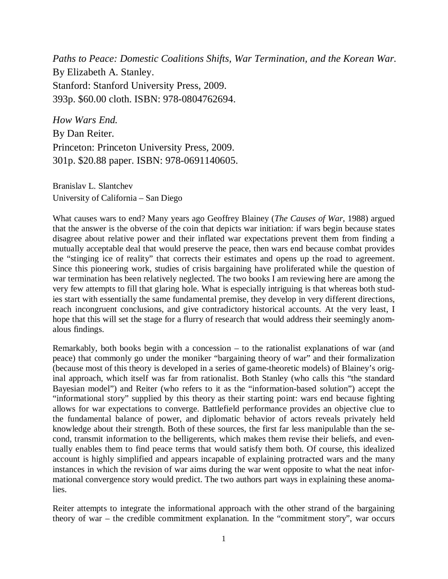*Paths to Peace: Domestic Coalitions Shifts, War Termination, and the Korean War.*  By Elizabeth A. Stanley. Stanford: Stanford University Press, 2009. 393p. \$60.00 cloth. ISBN: 978-0804762694.

*How Wars End.*  By Dan Reiter. Princeton: Princeton University Press, 2009. 301p. \$20.88 paper. ISBN: 978-0691140605.

Branislav L. Slantchev University of California – San Diego

What causes wars to end? Many years ago Geoffrey Blainey (*The Causes of War*, 1988) argued that the answer is the obverse of the coin that depicts war initiation: if wars begin because states disagree about relative power and their inflated war expectations prevent them from finding a mutually acceptable deal that would preserve the peace, then wars end because combat provides the "stinging ice of reality" that corrects their estimates and opens up the road to agreement. Since this pioneering work, studies of crisis bargaining have proliferated while the question of war termination has been relatively neglected. The two books I am reviewing here are among the very few attempts to fill that glaring hole. What is especially intriguing is that whereas both studies start with essentially the same fundamental premise, they develop in very different directions, reach incongruent conclusions, and give contradictory historical accounts. At the very least, I hope that this will set the stage for a flurry of research that would address their seemingly anomalous findings.

Remarkably, both books begin with a concession – to the rationalist explanations of war (and peace) that commonly go under the moniker "bargaining theory of war" and their formalization (because most of this theory is developed in a series of game-theoretic models) of Blainey's original approach, which itself was far from rationalist. Both Stanley (who calls this "the standard Bayesian model") and Reiter (who refers to it as the "information-based solution") accept the "informational story" supplied by this theory as their starting point: wars end because fighting allows for war expectations to converge. Battlefield performance provides an objective clue to the fundamental balance of power, and diplomatic behavior of actors reveals privately held knowledge about their strength. Both of these sources, the first far less manipulable than the second, transmit information to the belligerents, which makes them revise their beliefs, and eventually enables them to find peace terms that would satisfy them both. Of course, this idealized account is highly simplified and appears incapable of explaining protracted wars and the many instances in which the revision of war aims during the war went opposite to what the neat informational convergence story would predict. The two authors part ways in explaining these anomalies.

Reiter attempts to integrate the informational approach with the other strand of the bargaining theory of war – the credible commitment explanation. In the "commitment story", war occurs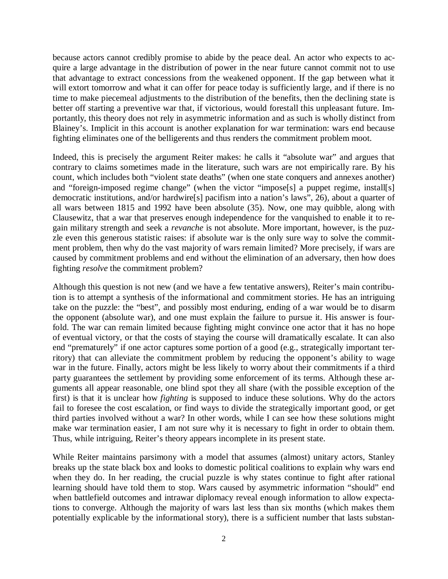because actors cannot credibly promise to abide by the peace deal. An actor who expects to acquire a large advantage in the distribution of power in the near future cannot commit not to use that advantage to extract concessions from the weakened opponent. If the gap between what it will extort tomorrow and what it can offer for peace today is sufficiently large, and if there is no time to make piecemeal adjustments to the distribution of the benefits, then the declining state is better off starting a preventive war that, if victorious, would forestall this unpleasant future. Importantly, this theory does not rely in asymmetric information and as such is wholly distinct from Blainey's. Implicit in this account is another explanation for war termination: wars end because fighting eliminates one of the belligerents and thus renders the commitment problem moot.

Indeed, this is precisely the argument Reiter makes: he calls it "absolute war" and argues that contrary to claims sometimes made in the literature, such wars are not empirically rare. By his count, which includes both "violent state deaths" (when one state conquers and annexes another) and "foreign-imposed regime change" (when the victor "impose<sup>[s]</sup> a puppet regime, install<sup>[s]</sup> democratic institutions, and/or hardwire[s] pacifism into a nation's laws", 26), about a quarter of all wars between 1815 and 1992 have been absolute (35). Now, one may quibble, along with Clausewitz, that a war that preserves enough independence for the vanquished to enable it to regain military strength and seek a *revanche* is not absolute. More important, however, is the puzzle even this generous statistic raises: if absolute war is the only sure way to solve the commitment problem, then why do the vast majority of wars remain limited? More precisely, if wars are caused by commitment problems and end without the elimination of an adversary, then how does fighting *resolve* the commitment problem?

Although this question is not new (and we have a few tentative answers), Reiter's main contribution is to attempt a synthesis of the informational and commitment stories. He has an intriguing take on the puzzle: the "best", and possibly most enduring, ending of a war would be to disarm the opponent (absolute war), and one must explain the failure to pursue it. His answer is fourfold. The war can remain limited because fighting might convince one actor that it has no hope of eventual victory, or that the costs of staying the course will dramatically escalate. It can also end "prematurely" if one actor captures some portion of a good (e.g., strategically important territory) that can alleviate the commitment problem by reducing the opponent's ability to wage war in the future. Finally, actors might be less likely to worry about their commitments if a third party guarantees the settlement by providing some enforcement of its terms. Although these arguments all appear reasonable, one blind spot they all share (with the possible exception of the first) is that it is unclear how *fighting* is supposed to induce these solutions. Why do the actors fail to foresee the cost escalation, or find ways to divide the strategically important good, or get third parties involved without a war? In other words, while I can see how these solutions might make war termination easier, I am not sure why it is necessary to fight in order to obtain them. Thus, while intriguing, Reiter's theory appears incomplete in its present state.

While Reiter maintains parsimony with a model that assumes (almost) unitary actors, Stanley breaks up the state black box and looks to domestic political coalitions to explain why wars end when they do. In her reading, the crucial puzzle is why states continue to fight after rational learning should have told them to stop. Wars caused by asymmetric information "should" end when battlefield outcomes and intrawar diplomacy reveal enough information to allow expectations to converge. Although the majority of wars last less than six months (which makes them potentially explicable by the informational story), there is a sufficient number that lasts substan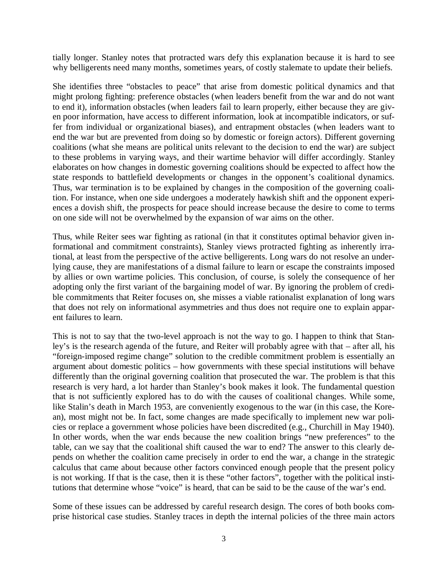tially longer. Stanley notes that protracted wars defy this explanation because it is hard to see why belligerents need many months, sometimes years, of costly stalemate to update their beliefs.

She identifies three "obstacles to peace" that arise from domestic political dynamics and that might prolong fighting: preference obstacles (when leaders benefit from the war and do not want to end it), information obstacles (when leaders fail to learn properly, either because they are given poor information, have access to different information, look at incompatible indicators, or suffer from individual or organizational biases), and entrapment obstacles (when leaders want to end the war but are prevented from doing so by domestic or foreign actors). Different governing coalitions (what she means are political units relevant to the decision to end the war) are subject to these problems in varying ways, and their wartime behavior will differ accordingly. Stanley elaborates on how changes in domestic governing coalitions should be expected to affect how the state responds to battlefield developments or changes in the opponent's coalitional dynamics. Thus, war termination is to be explained by changes in the composition of the governing coalition. For instance, when one side undergoes a moderately hawkish shift and the opponent experiences a dovish shift, the prospects for peace should increase because the desire to come to terms on one side will not be overwhelmed by the expansion of war aims on the other.

Thus, while Reiter sees war fighting as rational (in that it constitutes optimal behavior given informational and commitment constraints), Stanley views protracted fighting as inherently irrational, at least from the perspective of the active belligerents. Long wars do not resolve an underlying cause, they are manifestations of a dismal failure to learn or escape the constraints imposed by allies or own wartime policies. This conclusion, of course, is solely the consequence of her adopting only the first variant of the bargaining model of war. By ignoring the problem of credible commitments that Reiter focuses on, she misses a viable rationalist explanation of long wars that does not rely on informational asymmetries and thus does not require one to explain apparent failures to learn.

This is not to say that the two-level approach is not the way to go. I happen to think that Stanley's is the research agenda of the future, and Reiter will probably agree with that – after all, his "foreign-imposed regime change" solution to the credible commitment problem is essentially an argument about domestic politics – how governments with these special institutions will behave differently than the original governing coalition that prosecuted the war. The problem is that this research is very hard, a lot harder than Stanley's book makes it look. The fundamental question that is not sufficiently explored has to do with the causes of coalitional changes. While some, like Stalin's death in March 1953, are conveniently exogenous to the war (in this case, the Korean), most might not be. In fact, some changes are made specifically to implement new war policies or replace a government whose policies have been discredited (e.g., Churchill in May 1940). In other words, when the war ends because the new coalition brings "new preferences" to the table, can we say that the coalitional shift caused the war to end? The answer to this clearly depends on whether the coalition came precisely in order to end the war, a change in the strategic calculus that came about because other factors convinced enough people that the present policy is not working. If that is the case, then it is these "other factors", together with the political institutions that determine whose "voice" is heard, that can be said to be the cause of the war's end.

Some of these issues can be addressed by careful research design. The cores of both books comprise historical case studies. Stanley traces in depth the internal policies of the three main actors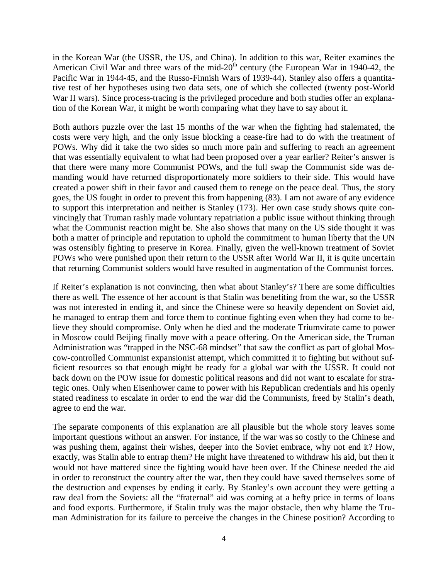in the Korean War (the USSR, the US, and China). In addition to this war, Reiter examines the American Civil War and three wars of the mid- $20<sup>th</sup>$  century (the European War in 1940-42, the Pacific War in 1944-45, and the Russo-Finnish Wars of 1939-44). Stanley also offers a quantitative test of her hypotheses using two data sets, one of which she collected (twenty post-World War II wars). Since process-tracing is the privileged procedure and both studies offer an explanation of the Korean War, it might be worth comparing what they have to say about it.

Both authors puzzle over the last 15 months of the war when the fighting had stalemated, the costs were very high, and the only issue blocking a cease-fire had to do with the treatment of POWs. Why did it take the two sides so much more pain and suffering to reach an agreement that was essentially equivalent to what had been proposed over a year earlier? Reiter's answer is that there were many more Communist POWs, and the full swap the Communist side was demanding would have returned disproportionately more soldiers to their side. This would have created a power shift in their favor and caused them to renege on the peace deal. Thus, the story goes, the US fought in order to prevent this from happening (83). I am not aware of any evidence to support this interpretation and neither is Stanley (173). Her own case study shows quite convincingly that Truman rashly made voluntary repatriation a public issue without thinking through what the Communist reaction might be. She also shows that many on the US side thought it was both a matter of principle and reputation to uphold the commitment to human liberty that the UN was ostensibly fighting to preserve in Korea. Finally, given the well-known treatment of Soviet POWs who were punished upon their return to the USSR after World War II, it is quite uncertain that returning Communist solders would have resulted in augmentation of the Communist forces.

If Reiter's explanation is not convincing, then what about Stanley's? There are some difficulties there as well. The essence of her account is that Stalin was benefiting from the war, so the USSR was not interested in ending it, and since the Chinese were so heavily dependent on Soviet aid, he managed to entrap them and force them to continue fighting even when they had come to believe they should compromise. Only when he died and the moderate Triumvirate came to power in Moscow could Beijing finally move with a peace offering. On the American side, the Truman Administration was "trapped in the NSC-68 mindset" that saw the conflict as part of global Moscow-controlled Communist expansionist attempt, which committed it to fighting but without sufficient resources so that enough might be ready for a global war with the USSR. It could not back down on the POW issue for domestic political reasons and did not want to escalate for strategic ones. Only when Eisenhower came to power with his Republican credentials and his openly stated readiness to escalate in order to end the war did the Communists, freed by Stalin's death, agree to end the war.

The separate components of this explanation are all plausible but the whole story leaves some important questions without an answer. For instance, if the war was so costly to the Chinese and was pushing them, against their wishes, deeper into the Soviet embrace, why not end it? How, exactly, was Stalin able to entrap them? He might have threatened to withdraw his aid, but then it would not have mattered since the fighting would have been over. If the Chinese needed the aid in order to reconstruct the country after the war, then they could have saved themselves some of the destruction and expenses by ending it early. By Stanley's own account they were getting a raw deal from the Soviets: all the "fraternal" aid was coming at a hefty price in terms of loans and food exports. Furthermore, if Stalin truly was the major obstacle, then why blame the Truman Administration for its failure to perceive the changes in the Chinese position? According to